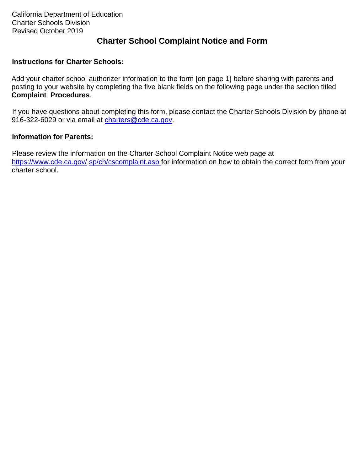### **Charter School Complaint Notice and Form**

#### **Instructions for Charter Schools:**

Add your charter school authorizer information to the form [on page 1] before sharing with parents and posting to your website by completing the five blank fields on the following page under the section titled **Complaint Procedures**.

If you have questions about completing this form, please contact the Charter Schools Division by phone at 916-322-6029 or via email at charters@cde.ca.gov.

#### **Information for Parents:**

Please review the information on the Charter School Complaint Notice web page at https://www.cde.ca.gov/ sp/ch/cscomplaint.asp for information on how to obtain the correct form from your charter school.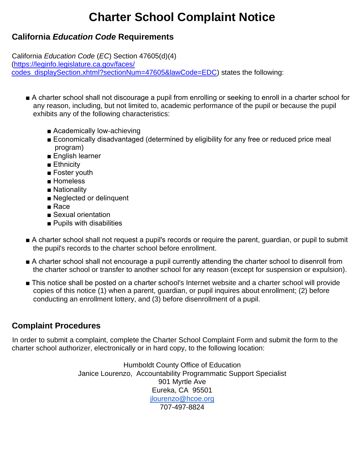# **Charter School Complaint Notice**

### **California** *Education Code* **Requirements**

California *Education Code* (*EC*) Section 47605(d)(4) (https://leginfo.legislature.ca.gov/faces/ codes\_displaySection.xhtml?sectionNum=47605&lawCode=EDC) states the following:

- A charter school shall not discourage a pupil from enrolling or seeking to enroll in a charter school for any reason, including, but not limited to, academic performance of the pupil or because the pupil exhibits any of the following characteristics:
	- Academically low-achieving
	- Economically disadvantaged (determined by eligibility for any free or reduced price meal program)
	- English learner
	- Ethnicity
	- Foster youth
	- Homeless
	- Nationality
	- Neglected or delinquent
	- Race
	- Sexual orientation
	- Pupils with disabilities
- A charter school shall not request a pupil's records or require the parent, quardian, or pupil to submit the pupil's records to the charter school before enrollment.
- A charter school shall not encourage a pupil currently attending the charter school to disenroll from the charter school or transfer to another school for any reason (except for suspension or expulsion).
- This notice shall be posted on a charter school's Internet website and a charter school will provide copies of this notice (1) when a parent, guardian, or pupil inquires about enrollment; (2) before conducting an enrollment lottery, and (3) before disenrollment of a pupil.

## **Complaint Procedures**

In order to submit a complaint, complete the Charter School Complaint Form and submit the form to the charter school authorizer, electronically or in hard copy, to the following location:

> Humboldt County Office of Education Janice Lourenzo, Accountability Programmatic Support Specialist 901 Myrtle Ave Eureka, CA 95501 [jlourenzo@hcoe.org](mailto:jlourenzo@hcoe.org)  707-497-8824